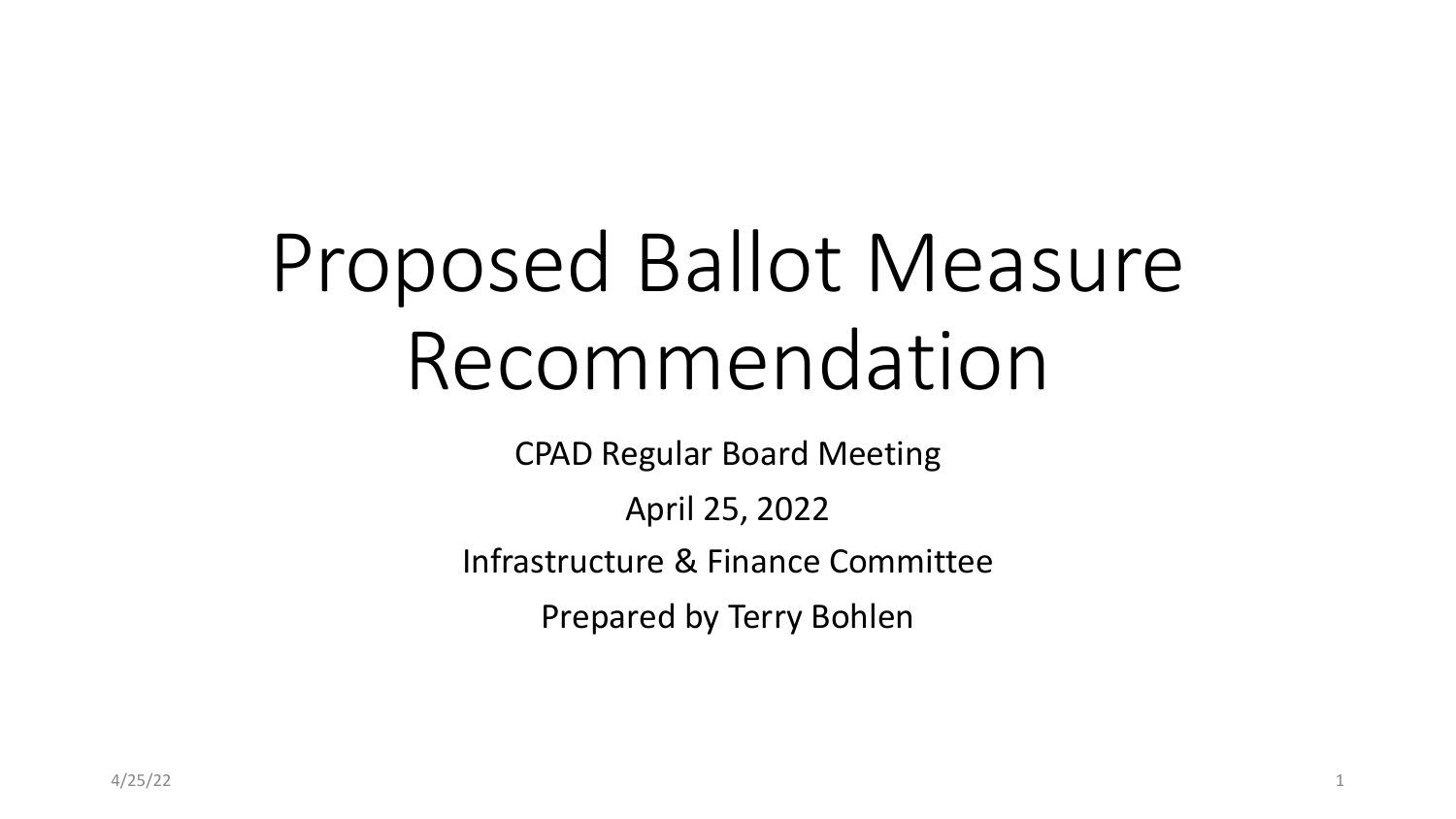# Proposed Ballot Measure Recommendation

CPAD Regular Board Meeting

April 25, 2022

Infrastructure & Finance Committee

Prepared by Terry Bohlen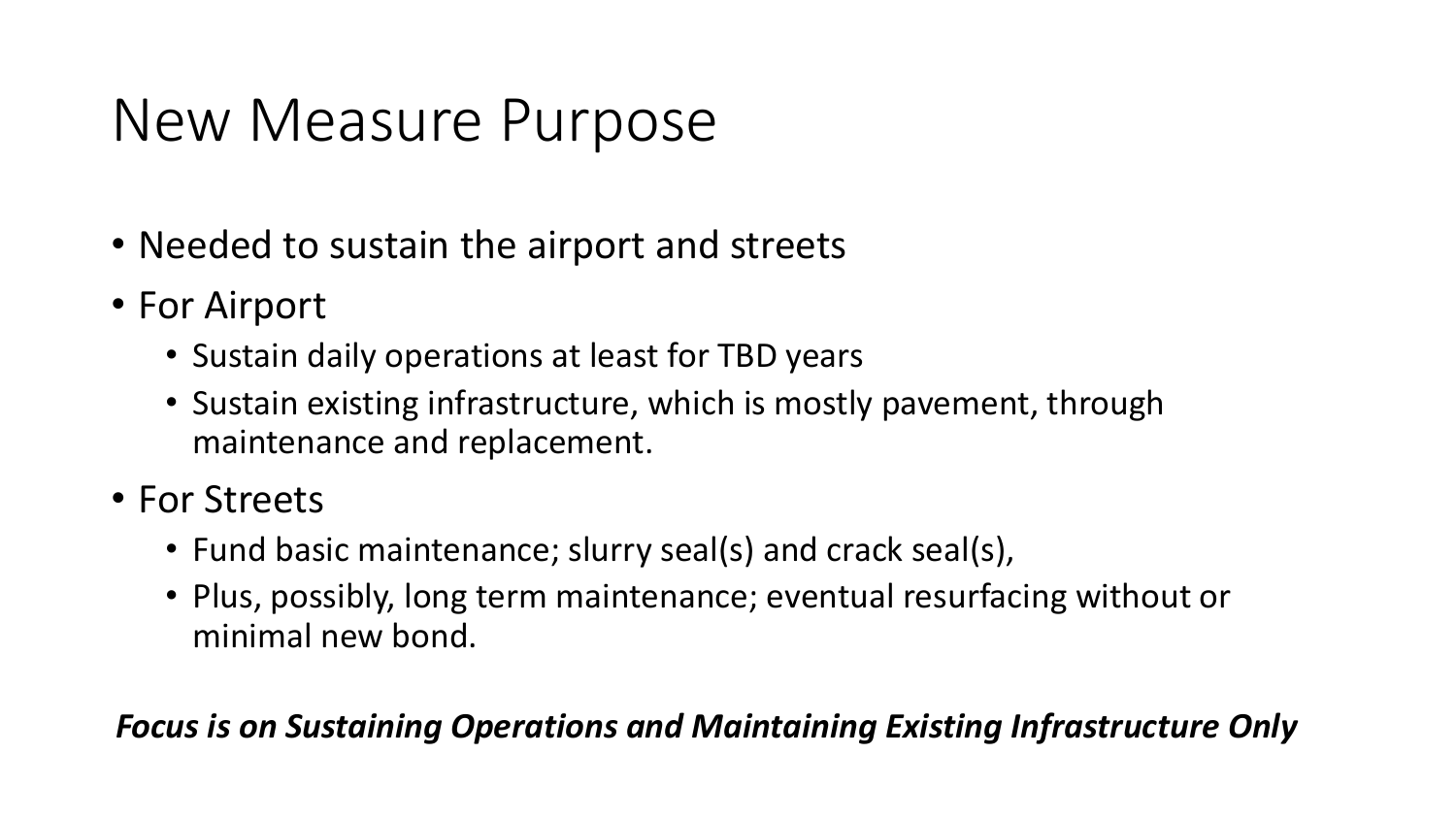### New Measure Purpose

- Needed to sustain the airport and streets
- For Airport
	- Sustain daily operations at least for TBD years
	- Sustain existing infrastructure, which is mostly pavement, through maintenance and replacement.
- For Streets
	- Fund basic maintenance; slurry seal(s) and crack seal(s),
	- Plus, possibly, long term maintenance; eventual resurfacing without or minimal new bond.

#### *Focus is on Sustaining Operations and Maintaining Existing Infrastructure Only*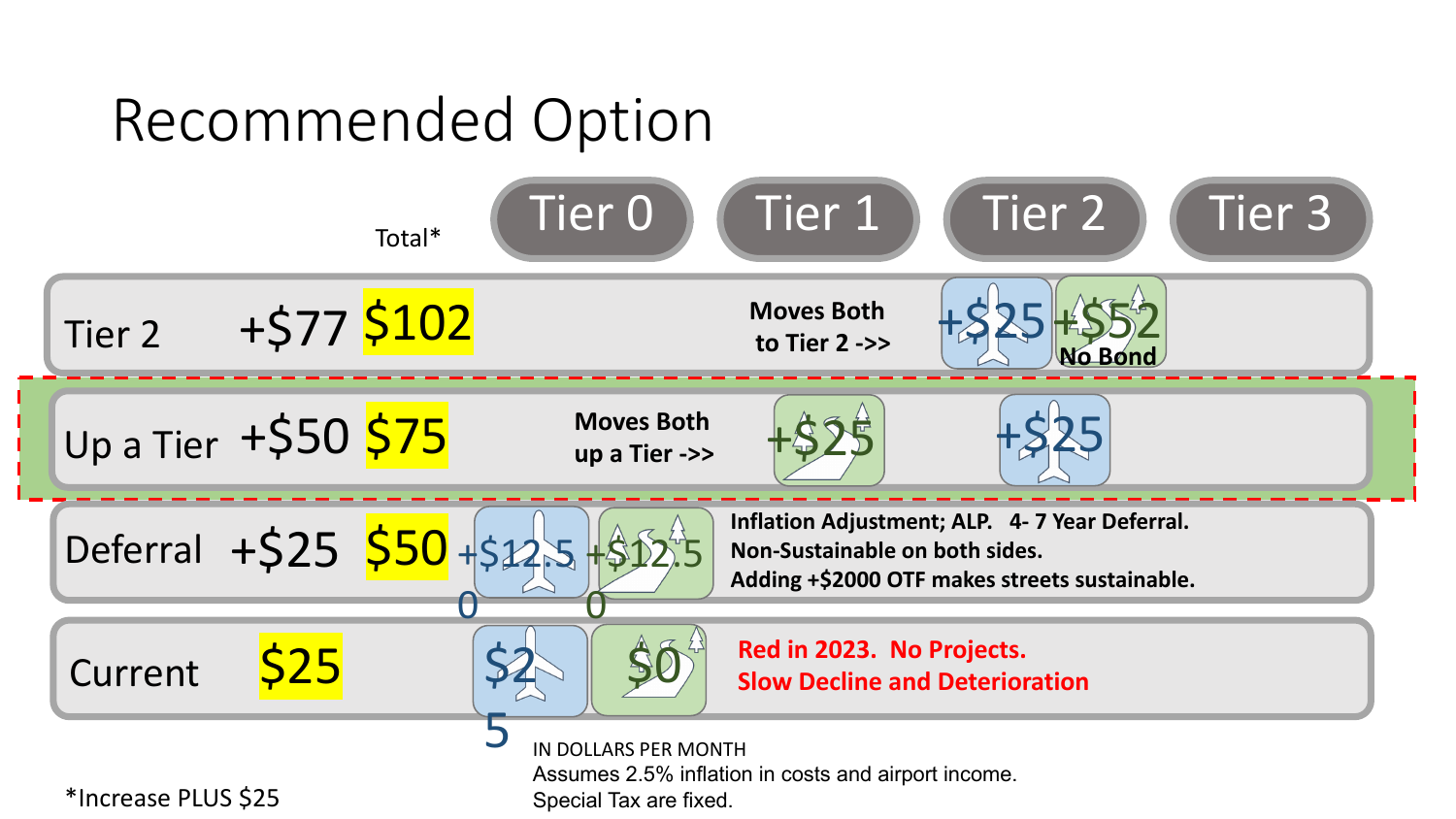## Recommended Option

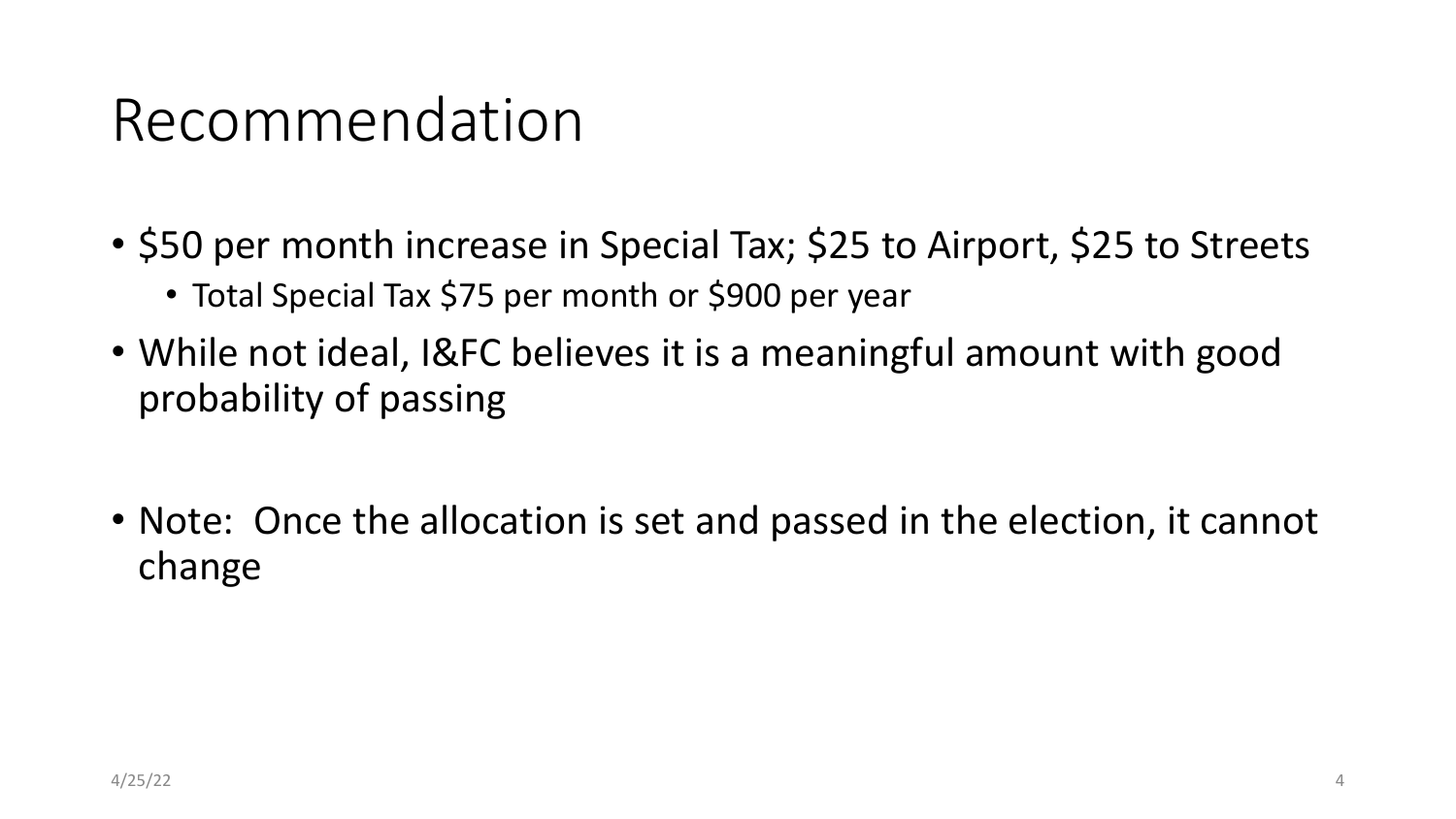#### Recommendation

- \$50 per month increase in Special Tax; \$25 to Airport, \$25 to Streets
	- Total Special Tax \$75 per month or \$900 per year
- While not ideal, I&FC believes it is a meaningful amount with good probability of passing
- Note: Once the allocation is set and passed in the election, it cannot change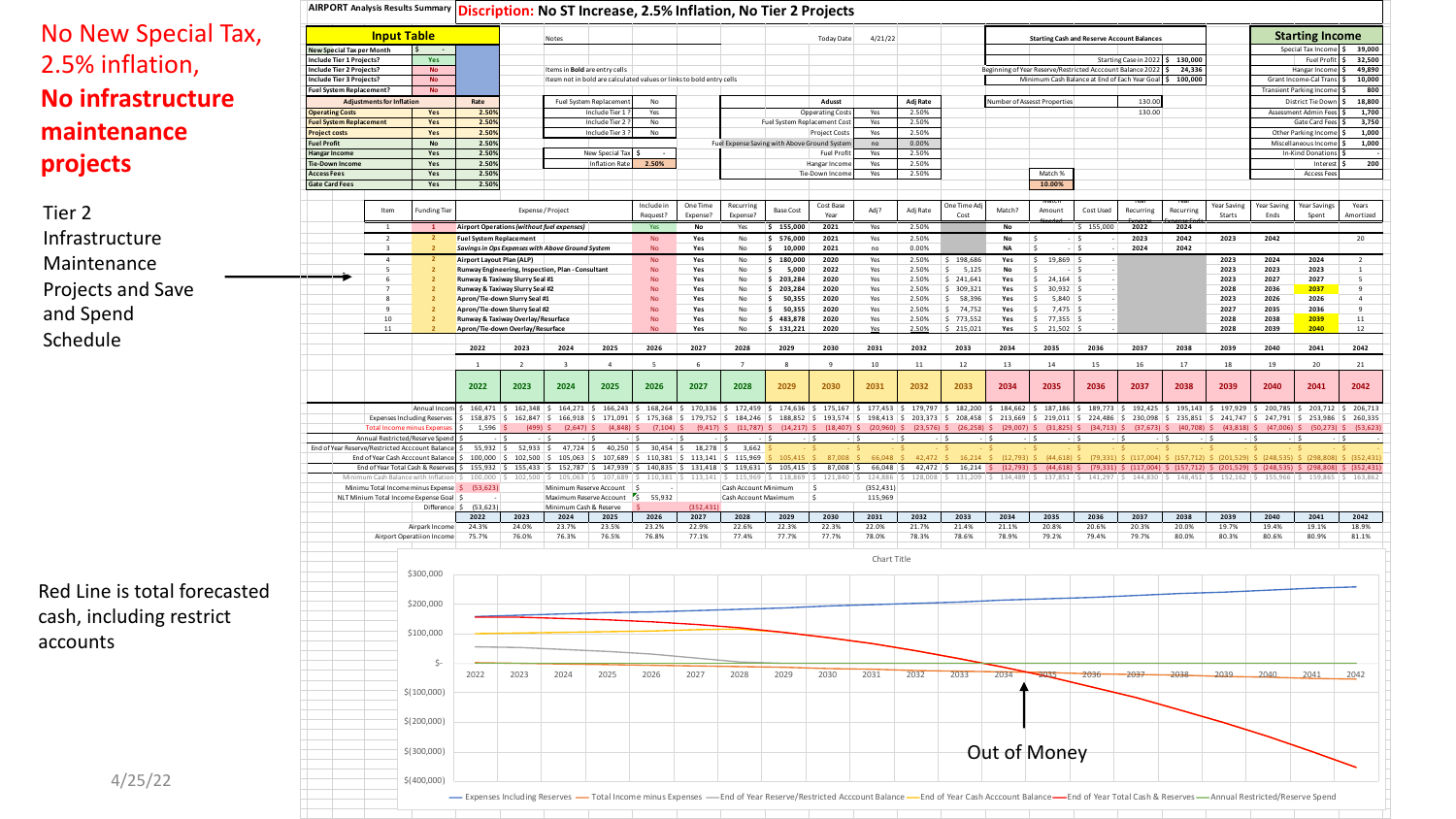#### No New Special 2.5% inflation, **No infrastructure maintenance projects**

Tier 2 Infrastructure Maintenance Projects and Save and Spend Schedule

|                     |                                       |                                                              |                                  | AIRPORT Analysis Results Summary   Discription: No ST Increase, 2.5% Inflation, No Tier 2 Projects |                                |                                                                     |                                                     |                                                                                                              |                        |                               |                                                                                                            |                             |                                                                                                                                                                                                                                                                                                                                                                                                                                                                               |                       |                                     |                          |               |                                                                                                                                  |               |                                  |               |               |               |                                                                                                                                        |                  |
|---------------------|---------------------------------------|--------------------------------------------------------------|----------------------------------|----------------------------------------------------------------------------------------------------|--------------------------------|---------------------------------------------------------------------|-----------------------------------------------------|--------------------------------------------------------------------------------------------------------------|------------------------|-------------------------------|------------------------------------------------------------------------------------------------------------|-----------------------------|-------------------------------------------------------------------------------------------------------------------------------------------------------------------------------------------------------------------------------------------------------------------------------------------------------------------------------------------------------------------------------------------------------------------------------------------------------------------------------|-----------------------|-------------------------------------|--------------------------|---------------|----------------------------------------------------------------------------------------------------------------------------------|---------------|----------------------------------|---------------|---------------|---------------|----------------------------------------------------------------------------------------------------------------------------------------|------------------|
| w Special Tax,      |                                       |                                                              | <b>Input Table</b>               |                                                                                                    |                                |                                                                     | <b>Notes</b>                                        |                                                                                                              |                        |                               |                                                                                                            |                             | <b>Today Date</b>                                                                                                                                                                                                                                                                                                                                                                                                                                                             | 4/21/22               |                                     |                          |               | <b>Starting Cash and Reserve Account Balances</b>                                                                                |               |                                  |               |               |               | <b>Starting Income</b>                                                                                                                 |                  |
|                     |                                       | <b>New Special Tax per Month</b><br>Include Tier 1 Projects? |                                  | Yes                                                                                                |                                |                                                                     |                                                     |                                                                                                              |                        |                               |                                                                                                            |                             |                                                                                                                                                                                                                                                                                                                                                                                                                                                                               |                       |                                     |                          |               |                                                                                                                                  |               | Starting Case in 2022 \$ 130,000 |               |               |               | Special Tax Income<br>Fuel Profit \$ 32,500                                                                                            | 39,000           |
| nflation,           |                                       | <b>Include Tier 2 Projects?</b><br>Include Tier 3 Projects?  |                                  | <b>No</b><br><b>No</b>                                                                             |                                |                                                                     |                                                     | Items in <b>Bold</b> are entry cells<br>Itesm not in bold are calculated values or links to bold entry cells |                        |                               |                                                                                                            |                             |                                                                                                                                                                                                                                                                                                                                                                                                                                                                               |                       |                                     |                          |               | Beginning of Year Reserve/Restricted Acccount Balance 2022 \$ 24,336<br>Minimum Cash Balance at End of Each Year Goal \$ 100,000 |               |                                  |               |               |               | Hangar Income<br>Grant Income-Cal Trans                                                                                                | 49,890<br>10,000 |
|                     |                                       | Fuel System Replacement?                                     |                                  | <b>No</b>                                                                                          |                                |                                                                     |                                                     |                                                                                                              |                        |                               |                                                                                                            |                             |                                                                                                                                                                                                                                                                                                                                                                                                                                                                               |                       |                                     |                          |               |                                                                                                                                  |               |                                  |               |               |               | <b>Transient Parking Incom</b>                                                                                                         |                  |
| rastructure         | <b>Operating Costs</b>                |                                                              | <b>Adjustments for Inflation</b> | Yes                                                                                                | Rate<br>2.509                  |                                                                     |                                                     | Fuel System Replacemen<br>Include Tier 1                                                                     | No<br>Yes              |                               |                                                                                                            |                             | Adusst<br><b>Opperating Cost:</b>                                                                                                                                                                                                                                                                                                                                                                                                                                             | Yes                   | Adj Rate<br>2.50%                   |                          |               | Number of Assesst Properties                                                                                                     |               | 130.00<br>130.00                 |               |               |               | District Tie Down<br>Assessment Admin Fee                                                                                              | 18,800<br>1,700  |
|                     |                                       | <b>Fuel System Replacement</b>                               |                                  | Yes                                                                                                | 2.50%                          |                                                                     |                                                     | Include Tier 2                                                                                               | No                     |                               |                                                                                                            |                             | Fuel System Replacement Cost                                                                                                                                                                                                                                                                                                                                                                                                                                                  | Yes                   | 2.50%                               |                          |               |                                                                                                                                  |               |                                  |               |               |               | Gate Card Fees                                                                                                                         | 3,750            |
| enance              | Project costs<br><b>Fuel Profit</b>   |                                                              |                                  | Yes<br>No                                                                                          | 2.50%<br>2.50%                 |                                                                     |                                                     | Include Tier 3?                                                                                              | No                     |                               | Fuel Expense Saving with Above Ground Systen                                                               |                             | <b>Project Costs</b>                                                                                                                                                                                                                                                                                                                                                                                                                                                          | Yes<br>no             | 2.50%<br>0.00%                      |                          |               |                                                                                                                                  |               |                                  |               |               |               | Other Parking Income<br>Miscellaneous Incom                                                                                            | 1,000<br>1,000   |
|                     | langar Income                         |                                                              |                                  | Yes                                                                                                | 2.50%                          |                                                                     |                                                     | New Special Tax                                                                                              |                        |                               |                                                                                                            |                             | <b>Fuel Profi</b>                                                                                                                                                                                                                                                                                                                                                                                                                                                             | Yes                   | 2.50%                               |                          |               |                                                                                                                                  |               |                                  |               |               |               | In-Kind Donation                                                                                                                       |                  |
|                     | Tie-Down Income<br><b>Access Fees</b> |                                                              |                                  | Yes<br>Yes                                                                                         | 2.50%<br>2.50%                 |                                                                     |                                                     | <b>Inflation Rate</b>                                                                                        | 2.50%                  |                               |                                                                                                            |                             | Hangar Income<br>Tie-Down Income                                                                                                                                                                                                                                                                                                                                                                                                                                              | Yes<br>Yes            | 2.50%<br>2.50%                      |                          |               | Match %                                                                                                                          |               |                                  |               |               |               | Interest<br><b>Access Fees</b>                                                                                                         |                  |
|                     | <b>Gate Card Fees</b>                 |                                                              |                                  | Yes                                                                                                | 2.50%                          |                                                                     |                                                     |                                                                                                              |                        |                               |                                                                                                            |                             |                                                                                                                                                                                                                                                                                                                                                                                                                                                                               |                       |                                     |                          |               | 10.00%                                                                                                                           |               |                                  |               |               |               |                                                                                                                                        |                  |
|                     |                                       |                                                              | Item                             | <b>Funding Tier</b>                                                                                |                                |                                                                     | Expense / Project                                   |                                                                                                              | Include in             | One Time                      | Recurring                                                                                                  | <b>Base Cost</b>            | Cost Base                                                                                                                                                                                                                                                                                                                                                                                                                                                                     | Adj?                  | Adj Rate                            | Jne Time Ad              | Match?        | Amount                                                                                                                           | Cost Used     | Recurring                        | Recurring     | Year Saving   | Year Saving   | Year Savings                                                                                                                           | Years            |
|                     |                                       |                                                              | 1                                |                                                                                                    |                                | Airport Operations (without fuel expenses)                          |                                                     |                                                                                                              | Request?               | Expense?                      | Expense?                                                                                                   | \$155,000                   | Year<br>2021                                                                                                                                                                                                                                                                                                                                                                                                                                                                  |                       | 2.50%                               | Cost                     | No            |                                                                                                                                  | \$155,000     | 2022                             | 2024          | Starts        | Ends          | Spent                                                                                                                                  | Amortized        |
| ıcture              |                                       |                                                              | 2                                | $\mathbf{1}$                                                                                       | <b>Fuel System Replacement</b> |                                                                     |                                                     |                                                                                                              | Yes<br><b>No</b>       | No<br>Yes                     | Yes<br>No                                                                                                  | \$576,000                   | 2021                                                                                                                                                                                                                                                                                                                                                                                                                                                                          | Yes<br>Yes            | 2.50%                               |                          | <b>No</b>     |                                                                                                                                  | $-$ S         | 2023                             | 2042          | 2023          | 2042          |                                                                                                                                        | 20               |
|                     |                                       |                                                              | $\overline{3}$                   |                                                                                                    |                                | Savings in Ops Expenses with Above Ground System                    |                                                     |                                                                                                              | <b>No</b>              | Yes                           | No                                                                                                         | 10,000                      | 2021                                                                                                                                                                                                                                                                                                                                                                                                                                                                          | no                    | 0.00%                               |                          | <b>NA</b>     | -S<br>$-1.5$<br>19,869                                                                                                           |               | 2024                             | 2042          |               | 2024          | 2024                                                                                                                                   |                  |
| າance               |                                       |                                                              | 4<br>5                           |                                                                                                    | Airport Layout Plan (ALP)      | Runway Engineering, Inspection, Plan - Consultant                   |                                                     |                                                                                                              | <b>No</b><br>No        | Yes<br>Yes                    | No<br>No                                                                                                   | 180,000<br>S<br>5,000<br>S  | 2020<br>2022                                                                                                                                                                                                                                                                                                                                                                                                                                                                  | Yes<br>Yes            | 2.50%<br>2.50%                      | \$198,686<br>S.<br>5,125 | Yes<br>No     | $\sim$<br>-S<br>$-15$                                                                                                            |               |                                  |               | 2023<br>2023  | 2023          | 2023                                                                                                                                   | -1               |
| and Save            |                                       |                                                              | $\overline{7}$                   |                                                                                                    |                                | Runway & Taxiway Slurry Seal #1<br>Runway & Taxiway Slurry Seal #2  |                                                     |                                                                                                              | No<br>No               | Yes<br>Yes                    | No<br>No                                                                                                   | \$203,284<br>\$203,284      | 2020<br>2020                                                                                                                                                                                                                                                                                                                                                                                                                                                                  | Yes<br>Yes            | 2.50%<br>2.50%                      | \$241,641<br>\$309,321   | Yes<br>Yes    | $\sim$<br>24,164<br>$\sim$<br>30,932                                                                                             |               |                                  |               | 2023<br>2028  | 2027<br>2036  | 2027<br>2037                                                                                                                           | -5<br>9          |
|                     |                                       |                                                              | 8                                |                                                                                                    |                                | Apron/Tie-down Slurry Seal #1                                       |                                                     |                                                                                                              | No                     | Yes                           | No                                                                                                         | ۱\$.<br>50,355              | 2020                                                                                                                                                                                                                                                                                                                                                                                                                                                                          | Yes                   | 2.50%                               | S.<br>58,396             | Yes           | 5,840<br>S.                                                                                                                      |               |                                  |               | 2023          | 2026          | 2026                                                                                                                                   | $\overline{4}$   |
|                     |                                       |                                                              | 9<br>10 <sup>10</sup>            |                                                                                                    |                                | Apron/Tie-down Slurry Seal #2<br>Runway & Taxiway Overlay/Resurface |                                                     |                                                                                                              | <b>No</b><br><b>No</b> | Yes<br>Yes                    | No<br>No                                                                                                   | 50,355<br>∣\$.<br>\$483,878 | 2020<br>2020                                                                                                                                                                                                                                                                                                                                                                                                                                                                  | Yes<br>Yes            | 2.50%<br>2.50%                      | $5$ 74,752<br>\$773,552  | Yes<br>Yes    | 7,475<br>\$<br>  \$<br>77,355                                                                                                    |               |                                  |               | 2027<br>2028  | 2035<br>2038  | 2036<br>2039                                                                                                                           | 9<br>11          |
|                     |                                       |                                                              | 11                               |                                                                                                    |                                | Apron/Tie-down Overlay/Resurface                                    |                                                     |                                                                                                              | <b>No</b>              | Yes                           | No                                                                                                         | \$131,221                   | 2020                                                                                                                                                                                                                                                                                                                                                                                                                                                                          | Yes                   | 2.50%                               | \$215,021                | Yes           | \$21,502                                                                                                                         |               |                                  |               | 2028          | 2039          | 2040                                                                                                                                   | 12               |
|                     |                                       |                                                              |                                  |                                                                                                    | 2022                           | 2023                                                                | 2024                                                | 2025                                                                                                         | 2026                   | 2027                          | 2028                                                                                                       | 2029                        | 2030                                                                                                                                                                                                                                                                                                                                                                                                                                                                          | 2031                  | 2032                                | 2033                     | 2034          | 2035                                                                                                                             | 2036          | 2037                             | 2038          | 2039          | 2040          | 2041                                                                                                                                   | 2042             |
|                     |                                       |                                                              |                                  |                                                                                                    | <sup>1</sup>                   | $\overline{2}$                                                      | $\overline{\mathbf{3}}$                             | $\overline{4}$                                                                                               | -5                     | 6                             | $\overline{7}$                                                                                             | 8                           | $\mathbf{q}$                                                                                                                                                                                                                                                                                                                                                                                                                                                                  | 10                    | 11                                  | 12                       | 13            | 14                                                                                                                               | 15            | 16                               | 17            | 18            | 19            | 20                                                                                                                                     | 21               |
|                     |                                       |                                                              |                                  |                                                                                                    | 2022                           | 2023                                                                | 2024                                                | 2025                                                                                                         | 2026                   | 2027                          | 2028                                                                                                       | 2029                        | 2030                                                                                                                                                                                                                                                                                                                                                                                                                                                                          | 2031                  | 2032                                | 2033                     | 2034          | 2035                                                                                                                             | 2036          | 2037                             | 2038          | 2039          | 2040          | 2041                                                                                                                                   | 2042             |
|                     |                                       |                                                              |                                  |                                                                                                    |                                |                                                                     |                                                     |                                                                                                              |                        |                               |                                                                                                            |                             |                                                                                                                                                                                                                                                                                                                                                                                                                                                                               |                       |                                     |                          |               |                                                                                                                                  |               |                                  |               |               |               |                                                                                                                                        |                  |
|                     |                                       |                                                              |                                  | Annual Incom \$<br><b>Expenses Including Reserves</b>                                              | 160,471<br>158,875             |                                                                     |                                                     |                                                                                                              |                        |                               |                                                                                                            |                             | \$ 162,348  \$ 164,271  \$ 165,243  \$ 168,264  \$ 170,336  \$ 172,459  \$ 174,636  \$ 175,167  \$ 177,453  \$ 179,797  \$ 182,200  \$ 184,662  \$ 187,186  \$ 189,773  \$ 192,425  \$ 195,143  \$ 197,829  \$ 200,785  \$ 203,712  \$ 206,713<br>\$ 162,847 \$ 165,918 \$ 171,091 \$ 175,368 \$ 179,752 \$ 184,246 \$ 188,852 \$ 193,574 \$ 198,413 \$ 203,373 \$ 208,458 \$ 213,669 \$ 219,011 \$ 224,486 \$ 230,098 \$ 235,851 \$ 241,747 \$ 247,791 \$ 253,986 \$ 260,335 |                       |                                     |                          |               |                                                                                                                                  |               |                                  |               |               |               |                                                                                                                                        |                  |
|                     |                                       |                                                              | <b>Total Income minus Expe</b>   |                                                                                                    | 1.596                          | $(499)$ \$                                                          | $(2,647)$ \$                                        | $(4,848)$ \$                                                                                                 |                        |                               |                                                                                                            |                             | $(7,104)$ \$ $(9,417)$ \$ $(11,787)$ \$ $(14,217)$ \$ $(18,407)$ \$ $(20,960)$ \$ $(23,576)$ \$ $(26,258)$ \$ $(29,007)$ \$ $(31,825)$ \$ $(34,713)$ \$ $(37,673)$ \$ $(40,708)$ \$ $(43,818)$ \$ $(47,006)$ \$ $(50,273)$ \$ $(53,623)$                                                                                                                                                                                                                                      |                       |                                     |                          |               |                                                                                                                                  |               |                                  |               |               |               |                                                                                                                                        |                  |
|                     |                                       |                                                              |                                  | Annual Restricted/Reserve Spend<br>End of Year Reserve/Restricted Acccount Balance                 | $55,932$ \$                    |                                                                     | $52,933$ $\begin{array}{cc} 5 & 47,724 \end{array}$ | $40,250$ \$                                                                                                  | $30,454$ \$            | $18,278$ \$                   | 3,662                                                                                                      |                             | $-15$                                                                                                                                                                                                                                                                                                                                                                                                                                                                         |                       | $-15$                               | $-5$                     | $-15$         | $-1S$<br>$-1S$                                                                                                                   |               | $-15$                            | $-1S$         | $-15$         | $ \sqrt{2}$   | $-$ 5                                                                                                                                  | $-15$            |
|                     |                                       |                                                              |                                  | End of Year Cash Acccount Balance                                                                  |                                |                                                                     |                                                     |                                                                                                              |                        |                               | $100,000 \mid \xi$ 102,500 \ $\xi$ 105,063 \ $\xi$ 107,689 \ $\xi$ 110,381 \ $\xi$ 113,141 \ $\xi$ 115,969 |                             |                                                                                                                                                                                                                                                                                                                                                                                                                                                                               | 860.88<br>$66,048$ \$ |                                     |                          |               |                                                                                                                                  |               |                                  |               |               |               | (79.331) \$ (117.004) \$ (157.712) \$ (201.529) \$ (248.535) \$ (298.808) \$ (352.431)                                                 |                  |
|                     |                                       |                                                              |                                  | End of Year Total Cash & Reserves<br>Minimum Cash Balance with Inflation                           | 100,000                        |                                                                     |                                                     | $102,500$   \$ $105,063$   \$ $107,689$                                                                      |                        | $110,381$   \$ $113,141$   \$ | $155,932$ \$ $155,433$ \$ $152,787$ \$ $147,939$ \$ $140,835$ \$ $131,418$ \$ $119,631$<br>115,969         | $118.869$ S                 | $105,415$ \$ 87,008 \$<br>121,840                                                                                                                                                                                                                                                                                                                                                                                                                                             |                       | $42,472$ \$<br>124,886   \$ 128,008 |                          |               | $16,214$ \$ $(12,793)$ \$ $(44,618)$ \$<br>$131,209$ $\binom{2}{5}$ $134,489$ $\binom{2}{5}$ $137,851$ $\binom{2}{5}$ $141,297$  |               |                                  |               |               |               | $\frac{1}{2}$ \$ 144,830 $\frac{1}{2}$ 148,451 $\frac{1}{2}$ 152,162 $\frac{1}{2}$ 155,966 $\frac{1}{2}$ 159,865 $\frac{1}{2}$ 163,862 |                  |
|                     |                                       |                                                              |                                  | Minimu Total Income minus Expense \$<br>NLT Minium Total Income Expense Goal                       | (53, 623)                      |                                                                     |                                                     | Minimum Reserve Account<br>Maximum Reserve Account                                                           | IS.<br>55,932          |                               | Cash Account Minimum<br>Cash Account Maximum                                                               |                             | s<br>S                                                                                                                                                                                                                                                                                                                                                                                                                                                                        | (352, 431)<br>115,969 |                                     |                          |               |                                                                                                                                  |               |                                  |               |               |               |                                                                                                                                        |                  |
|                     |                                       |                                                              |                                  | Difference \$                                                                                      | (53, 623)                      |                                                                     |                                                     | Minimum Cash & Reserve                                                                                       |                        | (352, 431)                    |                                                                                                            |                             |                                                                                                                                                                                                                                                                                                                                                                                                                                                                               |                       |                                     |                          |               |                                                                                                                                  |               |                                  |               |               |               |                                                                                                                                        |                  |
|                     |                                       |                                                              |                                  | Airpark Income                                                                                     | 2022<br>24.3%                  | 2023<br>24.0%                                                       | 2024<br>23.7%                                       | 2025<br>23.5%                                                                                                | 2026<br>23.2%          | 2027<br>22.9%                 | 2028<br>22.6%                                                                                              | 2029<br>22.3%               | 2030<br>22.3%                                                                                                                                                                                                                                                                                                                                                                                                                                                                 | 2031<br>22.0%         | 2032<br>21.7%                       | 2033<br>21.4%            | 2034<br>21.1% | 2035<br>20.8%                                                                                                                    | 2036<br>20.6% | 2037<br>20.3%                    | 2038<br>20.0% | 2039<br>19.7% | 2040<br>19.4% | 2041<br>19.1%                                                                                                                          | 2042<br>18.9%    |
|                     |                                       |                                                              |                                  | Airport Operatiion Income                                                                          | 75.7%                          | 76.0%                                                               | 76.3%                                               | 76.5%                                                                                                        | 76.8%                  | 77.1%                         | 77.4%                                                                                                      | 77.7%                       | 77.7%                                                                                                                                                                                                                                                                                                                                                                                                                                                                         | 78.0%                 | 78.3%                               | 78.6%                    | 78.9%         | 79.2%                                                                                                                            | 79.4%         | 79.7%                            | 80.0%         | 80.3%         | 80.6%         | 80.9%                                                                                                                                  | 81.1%            |
|                     |                                       |                                                              |                                  |                                                                                                    |                                |                                                                     |                                                     |                                                                                                              |                        |                               |                                                                                                            |                             |                                                                                                                                                                                                                                                                                                                                                                                                                                                                               | Chart Title           |                                     |                          |               |                                                                                                                                  |               |                                  |               |               |               |                                                                                                                                        |                  |
|                     |                                       |                                                              |                                  | \$300,000                                                                                          |                                |                                                                     |                                                     |                                                                                                              |                        |                               |                                                                                                            |                             |                                                                                                                                                                                                                                                                                                                                                                                                                                                                               |                       |                                     |                          |               |                                                                                                                                  |               |                                  |               |               |               |                                                                                                                                        |                  |
| is total forecasted |                                       |                                                              |                                  |                                                                                                    |                                |                                                                     |                                                     |                                                                                                              |                        |                               |                                                                                                            |                             |                                                                                                                                                                                                                                                                                                                                                                                                                                                                               |                       |                                     |                          |               |                                                                                                                                  |               |                                  |               |               |               |                                                                                                                                        |                  |
|                     |                                       |                                                              |                                  | \$200,000                                                                                          |                                |                                                                     |                                                     |                                                                                                              |                        |                               |                                                                                                            |                             |                                                                                                                                                                                                                                                                                                                                                                                                                                                                               |                       |                                     |                          |               |                                                                                                                                  |               |                                  |               |               |               |                                                                                                                                        |                  |
| luding restrict     |                                       |                                                              |                                  |                                                                                                    |                                |                                                                     |                                                     |                                                                                                              |                        |                               |                                                                                                            |                             |                                                                                                                                                                                                                                                                                                                                                                                                                                                                               |                       |                                     |                          |               |                                                                                                                                  |               |                                  |               |               |               |                                                                                                                                        |                  |
|                     |                                       |                                                              |                                  | \$100,000                                                                                          |                                |                                                                     |                                                     |                                                                                                              |                        |                               |                                                                                                            |                             |                                                                                                                                                                                                                                                                                                                                                                                                                                                                               |                       |                                     |                          |               |                                                                                                                                  |               |                                  |               |               |               |                                                                                                                                        |                  |
|                     |                                       |                                                              |                                  |                                                                                                    |                                |                                                                     |                                                     |                                                                                                              |                        |                               |                                                                                                            |                             |                                                                                                                                                                                                                                                                                                                                                                                                                                                                               |                       |                                     |                          |               |                                                                                                                                  |               |                                  |               |               |               |                                                                                                                                        |                  |
|                     |                                       |                                                              |                                  | Ŝ.                                                                                                 | 2022                           | 2023                                                                | 2024                                                | 2025                                                                                                         | 2026                   | 2027                          | 2028                                                                                                       | 2029                        | 2030                                                                                                                                                                                                                                                                                                                                                                                                                                                                          | 2031                  | 2032                                | 2033                     | 2034          | 2035                                                                                                                             | 2036          | $-2037$                          | $-2038$       | 2039          | 2040          | 2041                                                                                                                                   | 2042             |
|                     |                                       |                                                              |                                  |                                                                                                    |                                |                                                                     |                                                     |                                                                                                              |                        |                               |                                                                                                            |                             |                                                                                                                                                                                                                                                                                                                                                                                                                                                                               |                       |                                     |                          |               |                                                                                                                                  |               |                                  |               |               |               |                                                                                                                                        |                  |
|                     |                                       |                                                              |                                  | \$(100,000)                                                                                        |                                |                                                                     |                                                     |                                                                                                              |                        |                               |                                                                                                            |                             |                                                                                                                                                                                                                                                                                                                                                                                                                                                                               |                       |                                     |                          |               |                                                                                                                                  |               |                                  |               |               |               |                                                                                                                                        |                  |
|                     |                                       |                                                              |                                  | \$(200,000)                                                                                        |                                |                                                                     |                                                     |                                                                                                              |                        |                               |                                                                                                            |                             |                                                                                                                                                                                                                                                                                                                                                                                                                                                                               |                       |                                     |                          |               |                                                                                                                                  |               |                                  |               |               |               |                                                                                                                                        |                  |
|                     |                                       |                                                              |                                  |                                                                                                    |                                |                                                                     |                                                     |                                                                                                              |                        |                               |                                                                                                            |                             |                                                                                                                                                                                                                                                                                                                                                                                                                                                                               |                       |                                     |                          |               |                                                                                                                                  |               |                                  |               |               |               |                                                                                                                                        |                  |
|                     |                                       |                                                              |                                  | \$(300,000)                                                                                        |                                |                                                                     |                                                     |                                                                                                              |                        |                               |                                                                                                            |                             |                                                                                                                                                                                                                                                                                                                                                                                                                                                                               |                       |                                     |                          |               | Out of Money                                                                                                                     |               |                                  |               |               |               |                                                                                                                                        |                  |
|                     |                                       |                                                              |                                  |                                                                                                    |                                |                                                                     |                                                     |                                                                                                              |                        |                               |                                                                                                            |                             |                                                                                                                                                                                                                                                                                                                                                                                                                                                                               |                       |                                     |                          |               |                                                                                                                                  |               |                                  |               |               |               |                                                                                                                                        |                  |
| 4/25/22             |                                       |                                                              |                                  | \$(400,000)                                                                                        |                                |                                                                     |                                                     |                                                                                                              |                        |                               |                                                                                                            |                             |                                                                                                                                                                                                                                                                                                                                                                                                                                                                               |                       |                                     |                          |               |                                                                                                                                  |               |                                  |               |               |               |                                                                                                                                        |                  |
|                     |                                       |                                                              |                                  |                                                                                                    |                                |                                                                     |                                                     |                                                                                                              |                        |                               |                                                                                                            |                             | - Expenses Including Reserves - Total Income minus Expenses - End of Year Reserve/Restricted Acccount Balance - End of Year Cash Acccount Balance - End of Year Cash Acccount Balance - End of Year Total Cash & Reserves - An                                                                                                                                                                                                                                                |                       |                                     |                          |               |                                                                                                                                  |               |                                  |               |               |               |                                                                                                                                        |                  |
|                     |                                       |                                                              |                                  |                                                                                                    |                                |                                                                     |                                                     |                                                                                                              |                        |                               |                                                                                                            |                             |                                                                                                                                                                                                                                                                                                                                                                                                                                                                               |                       |                                     |                          |               |                                                                                                                                  |               |                                  |               |               |               |                                                                                                                                        |                  |

Red Line is total foreca cash, including restrict accounts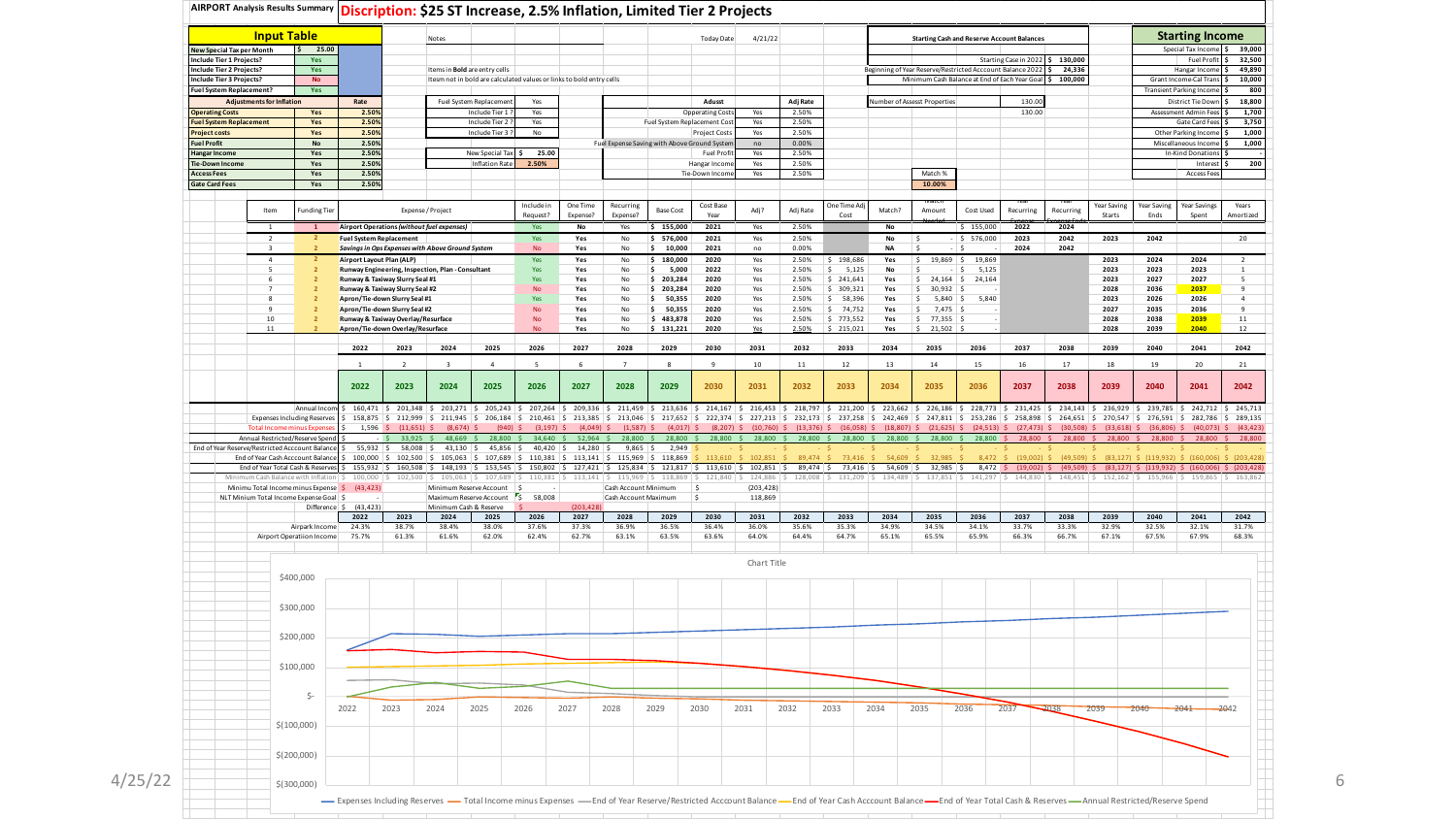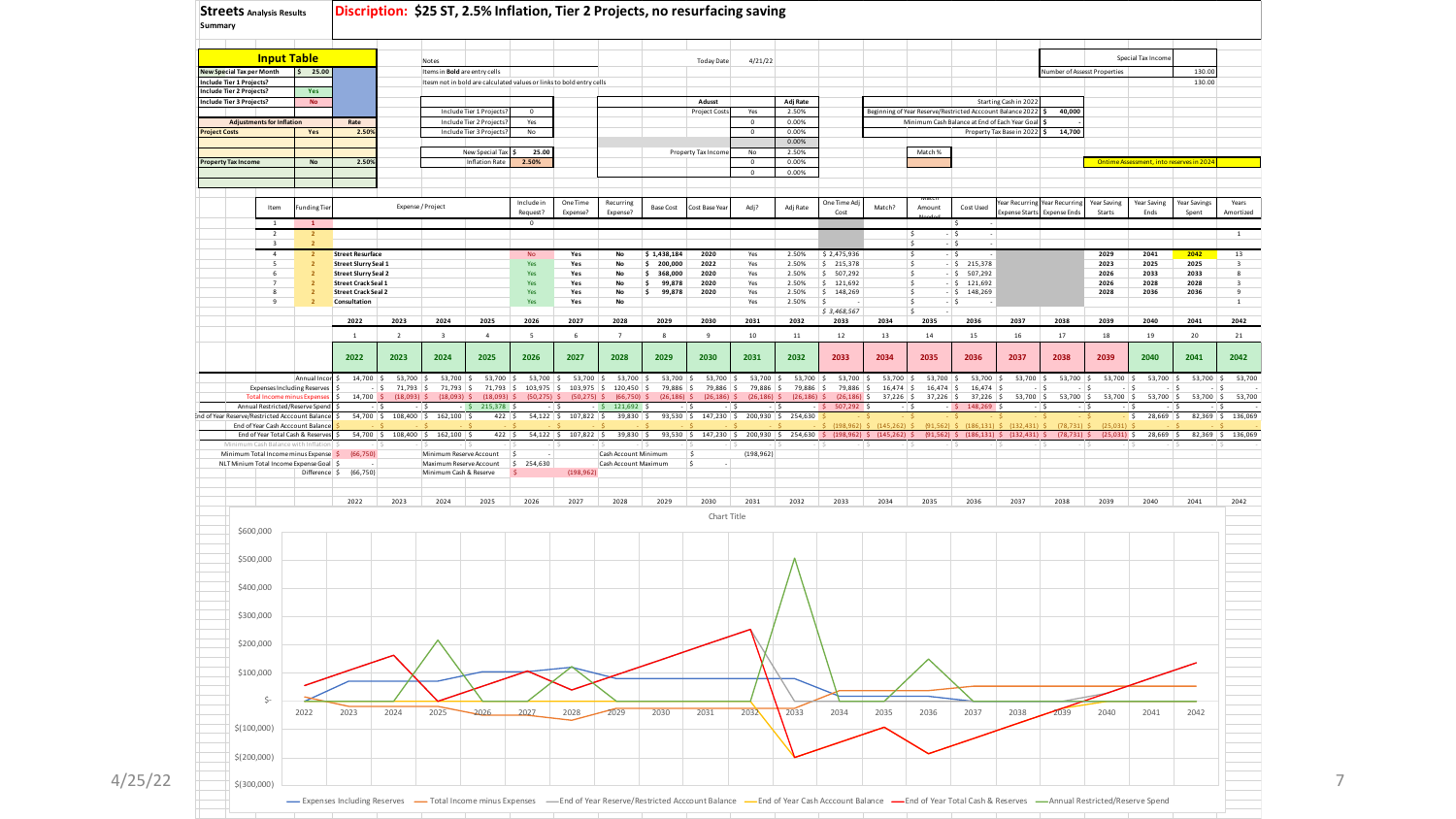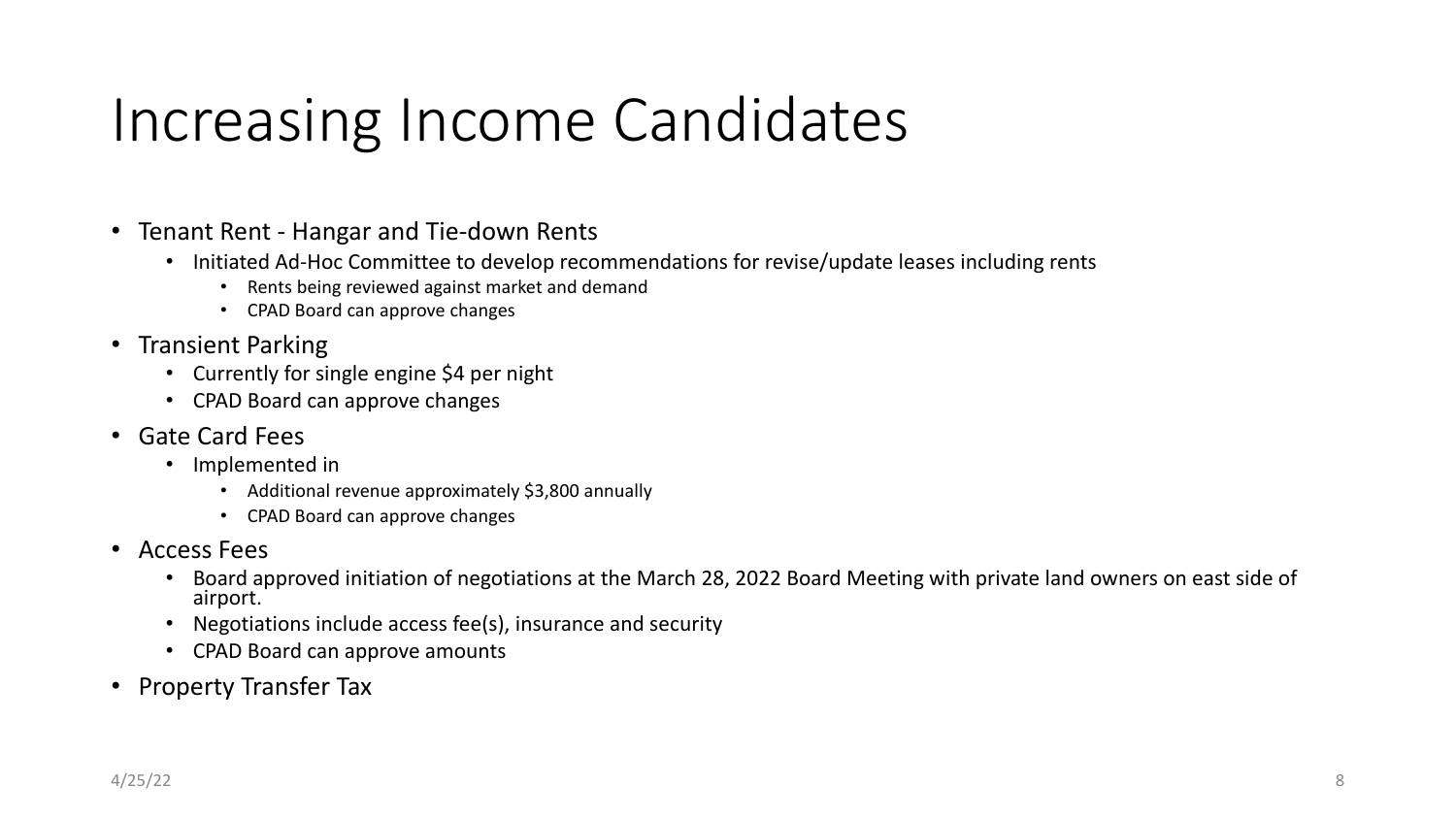### Increasing Income Candidates

- Tenant Rent Hangar and Tie-down Rents
	- Initiated Ad-Hoc Committee to develop recommendations for revise/update leases including rents
		- Rents being reviewed against market and demand
		- CPAD Board can approve changes
- Transient Parking
	- Currently for single engine \$4 per night
	- CPAD Board can approve changes
- Gate Card Fees
	- Implemented in
		- Additional revenue approximately \$3,800 annually
		- CPAD Board can approve changes
- Access Fees
	- Board approved initiation of negotiations at the March 28, 2022 Board Meeting with private land owners on east side of airport.
	- Negotiations include access fee(s), insurance and security
	- CPAD Board can approve amounts
- Property Transfer Tax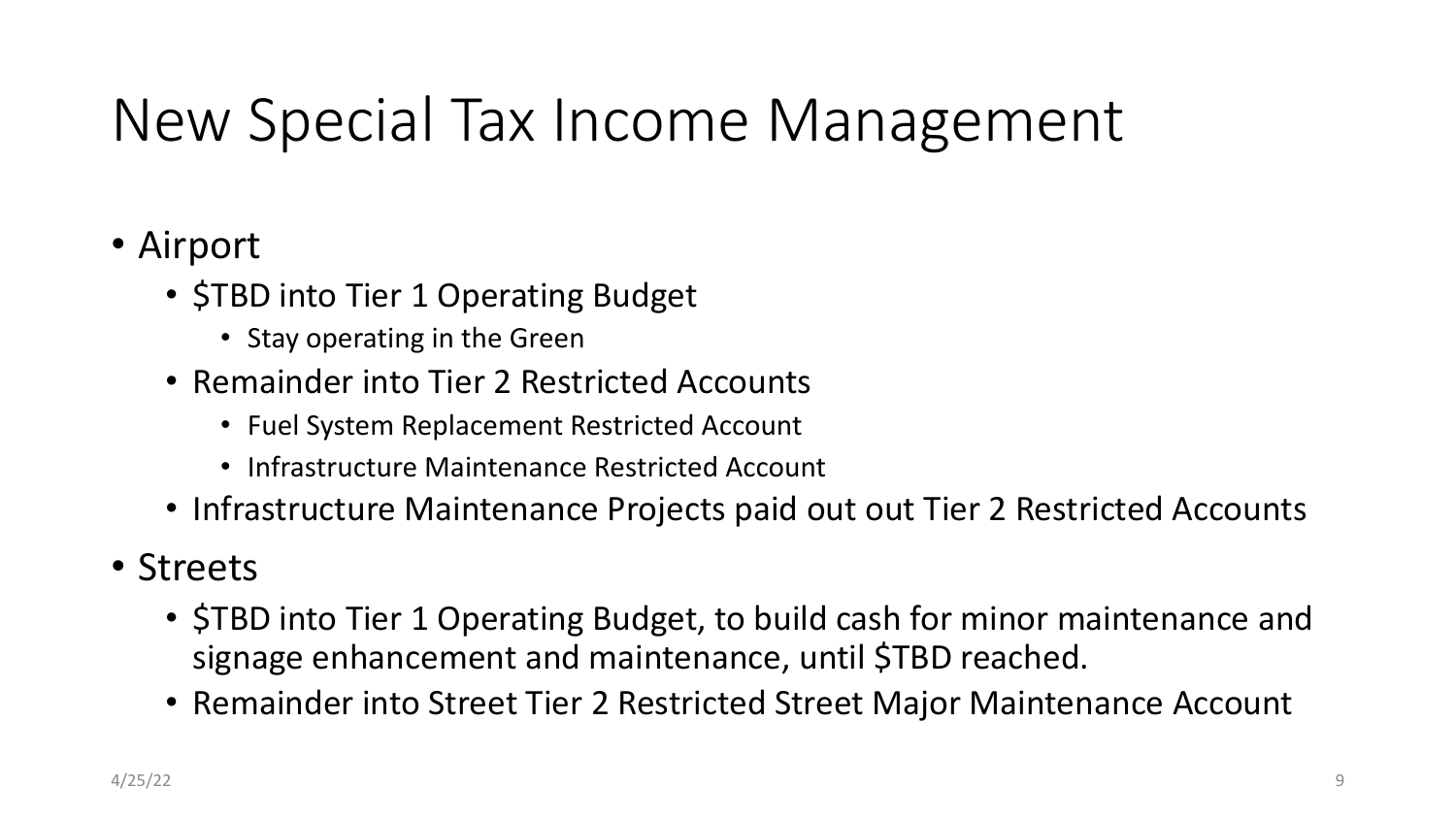# New Special Tax Income Management

#### • Airport

- **STBD into Tier 1 Operating Budget** 
	- Stay operating in the Green
- Remainder into Tier 2 Restricted Accounts
	- Fuel System Replacement Restricted Account
	- Infrastructure Maintenance Restricted Account
- Infrastructure Maintenance Projects paid out out Tier 2 Restricted Accounts

#### • Streets

- \$TBD into Tier 1 Operating Budget, to build cash for minor maintenance and signage enhancement and maintenance, until \$TBD reached.
- Remainder into Street Tier 2 Restricted Street Major Maintenance Account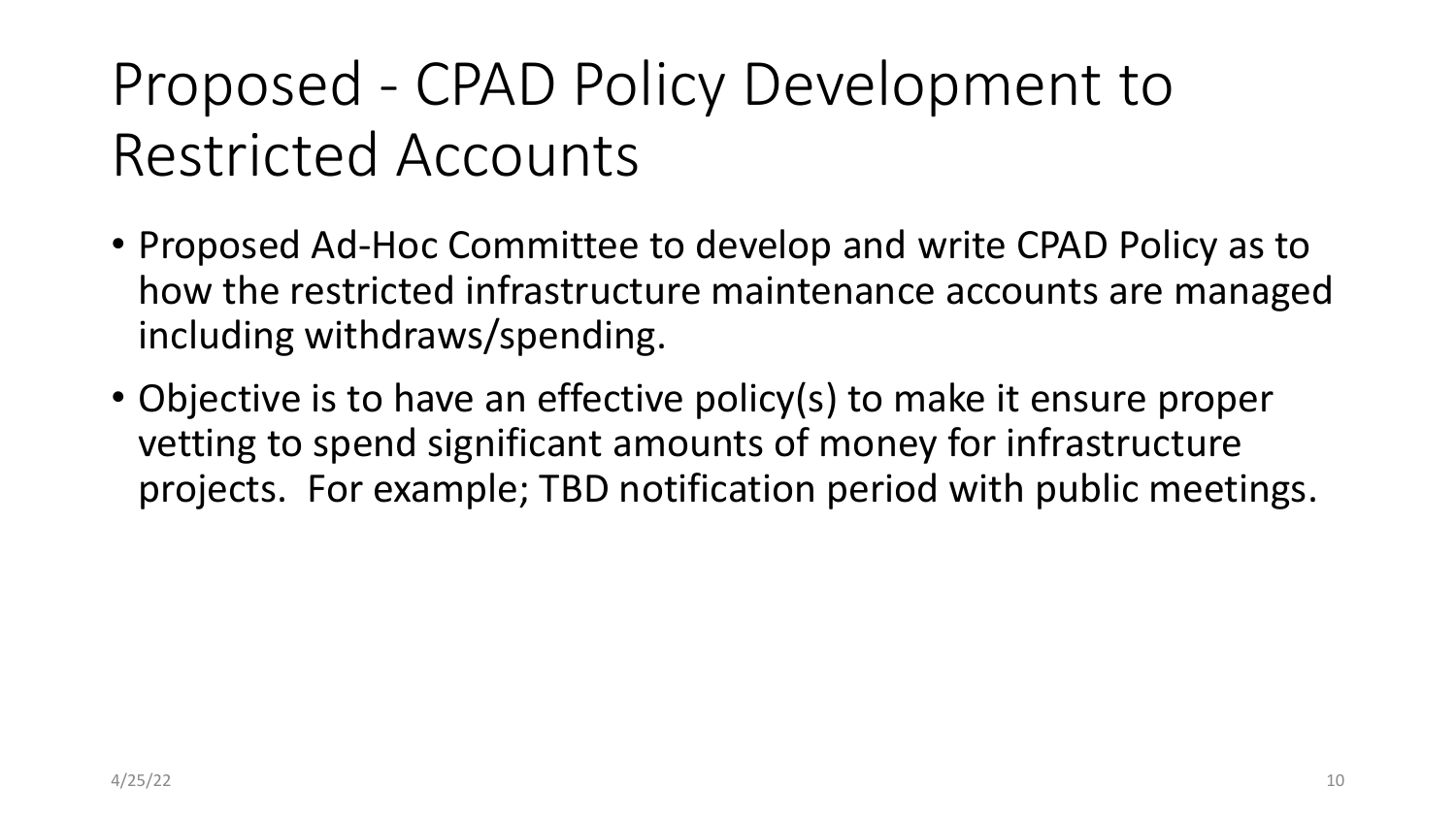# Proposed - CPAD Policy Development to Restricted Accounts

- Proposed Ad-Hoc Committee to develop and write CPAD Policy as to how the restricted infrastructure maintenance accounts are managed including withdraws/spending.
- Objective is to have an effective policy(s) to make it ensure proper vetting to spend significant amounts of money for infrastructure projects. For example; TBD notification period with public meetings.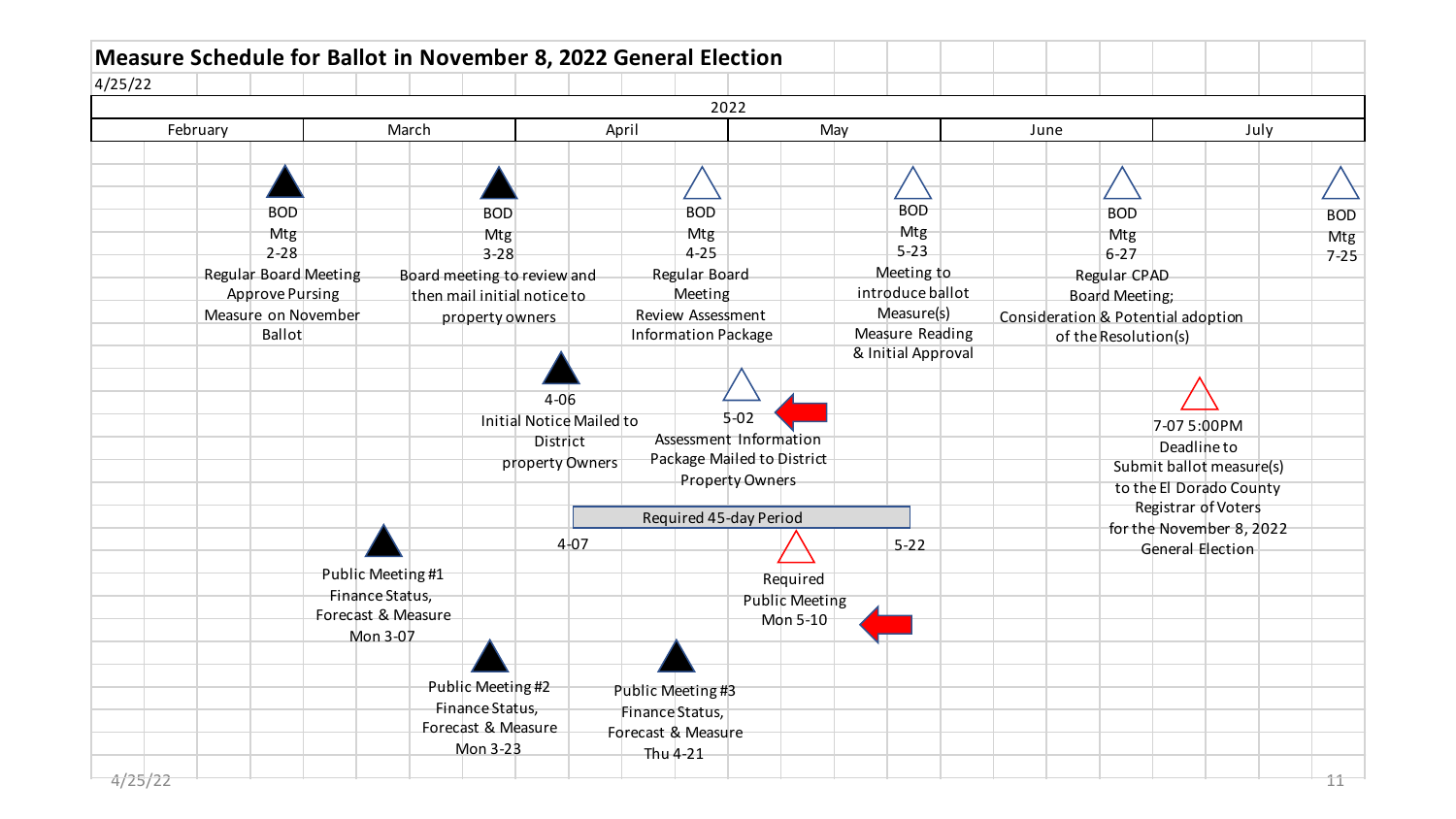| 4/25/22 |          |                        |                       |                   |                             |                   |          |                          |                            |                   |                            |                       |                                |                                    |                      |                  |                                                 |  |
|---------|----------|------------------------|-----------------------|-------------------|-----------------------------|-------------------|----------|--------------------------|----------------------------|-------------------|----------------------------|-----------------------|--------------------------------|------------------------------------|----------------------|------------------|-------------------------------------------------|--|
|         |          |                        |                       |                   |                             |                   |          |                          |                            | 2022              |                            |                       |                                |                                    |                      |                  |                                                 |  |
|         | February |                        |                       | March             |                             |                   |          |                          | April                      |                   |                            | May                   |                                | June                               |                      |                  | July                                            |  |
|         |          |                        |                       |                   |                             |                   |          |                          |                            |                   |                            |                       |                                |                                    |                      |                  |                                                 |  |
|         |          |                        |                       |                   |                             |                   |          |                          |                            |                   |                            |                       |                                |                                    |                      |                  |                                                 |  |
|         |          |                        |                       |                   |                             |                   |          |                          |                            |                   |                            |                       |                                |                                    |                      |                  |                                                 |  |
|         |          | <b>BOD</b>             |                       |                   |                             | <b>BOD</b>        |          |                          |                            | <b>BOD</b>        |                            |                       | <b>BOD</b>                     |                                    | <b>BOD</b>           |                  |                                                 |  |
|         |          | Mtg                    |                       |                   |                             | Mtg               |          |                          |                            | Mtg               |                            |                       | Mtg                            |                                    | Mtg                  |                  |                                                 |  |
|         |          | $2 - 28$               |                       |                   |                             | $3 - 28$          |          |                          |                            | $4 - 25$          |                            |                       | $5 - 23$                       |                                    | $6 - 27$             |                  |                                                 |  |
|         |          |                        | Regular Board Meeting |                   | Board meeting to review and |                   |          |                          |                            | Regular Board     |                            |                       | Meeting to<br>introduce ballot |                                    | Regular CPAD         |                  |                                                 |  |
|         |          | <b>Approve Pursing</b> |                       |                   | then mail initial notice to |                   |          |                          |                            | Meeting           |                            |                       |                                |                                    | Board Meeting;       |                  |                                                 |  |
|         |          | <b>Ballot</b>          | Measure on November   |                   |                             | property owners   |          |                          |                            | Review Assessment |                            |                       | Measure(s)<br>Measure Reading  | Consideration & Potential adoption |                      |                  |                                                 |  |
|         |          |                        |                       |                   |                             |                   |          |                          | <b>Information Package</b> |                   |                            |                       | & Initial Approval             |                                    | of the Resolution(s) |                  |                                                 |  |
|         |          |                        |                       |                   |                             |                   |          |                          |                            |                   |                            |                       |                                |                                    |                      |                  |                                                 |  |
|         |          |                        |                       |                   |                             |                   | $4 - 06$ |                          |                            |                   |                            |                       |                                |                                    |                      |                  |                                                 |  |
|         |          |                        |                       |                   |                             |                   |          | Initial Notice Mailed to |                            |                   | $5 - 02$                   |                       |                                |                                    |                      |                  |                                                 |  |
|         |          |                        |                       |                   |                             |                   | District |                          |                            |                   | Assessment Information     |                       |                                |                                    |                      | 7-07 5:00PM      |                                                 |  |
|         |          |                        |                       |                   |                             |                   |          | property Owners          |                            |                   | Package Mailed to District |                       |                                |                                    |                      | Deadline to      |                                                 |  |
|         |          |                        |                       |                   |                             |                   |          |                          |                            |                   | <b>Property Owners</b>     |                       |                                |                                    |                      |                  | Submit ballot measure(s)                        |  |
|         |          |                        |                       |                   |                             |                   |          |                          |                            |                   |                            |                       |                                |                                    |                      |                  | to the El Dorado County                         |  |
|         |          |                        |                       |                   |                             |                   |          |                          |                            |                   | Required 45-day Period     |                       |                                |                                    |                      |                  | Registrar of Voters<br>for the November 8, 2022 |  |
|         |          |                        |                       |                   |                             |                   |          | $4 - 07$                 |                            |                   |                            |                       | $5 - 22$                       |                                    |                      | General Election |                                                 |  |
|         |          |                        |                       |                   |                             |                   |          |                          |                            |                   |                            |                       |                                |                                    |                      |                  |                                                 |  |
|         |          |                        |                       | Public Meeting #1 |                             |                   |          |                          |                            |                   |                            | Required              |                                |                                    |                      |                  |                                                 |  |
|         |          |                        | Forecast & Measure    | Finance Status,   |                             |                   |          |                          |                            |                   |                            | <b>Public Meeting</b> |                                |                                    |                      |                  |                                                 |  |
|         |          |                        |                       | Mon 3-07          |                             |                   |          |                          |                            |                   |                            | Mon 5-10              |                                |                                    |                      |                  |                                                 |  |
|         |          |                        |                       |                   |                             |                   |          |                          |                            |                   |                            |                       |                                |                                    |                      |                  |                                                 |  |
|         |          |                        |                       |                   |                             |                   |          |                          |                            |                   |                            |                       |                                |                                    |                      |                  |                                                 |  |
|         |          |                        |                       |                   |                             | Public Meeting #2 |          |                          | Public Meeting #3          |                   |                            |                       |                                |                                    |                      |                  |                                                 |  |
|         |          |                        |                       |                   |                             | Finance Status,   |          |                          | Finance Status,            |                   |                            |                       |                                |                                    |                      |                  |                                                 |  |
|         |          |                        |                       |                   | Forecast & Measure          |                   |          |                          | Forecast & Measure         |                   |                            |                       |                                |                                    |                      |                  |                                                 |  |
|         |          |                        |                       |                   |                             | Mon 3-23          |          |                          | Thu 4-21                   |                   |                            |                       |                                |                                    |                      |                  |                                                 |  |